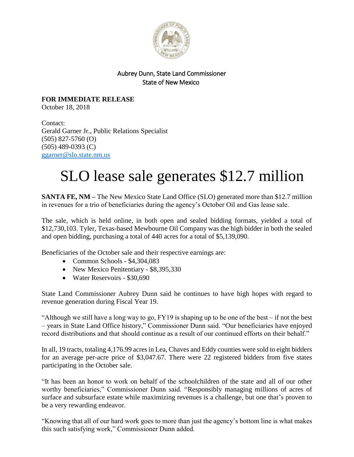

## Aubrey Dunn, State Land Commissioner State of New Mexico

**FOR IMMEDIATE RELEASE** October 18, 2018

Contact: Gerald Garner Jr., Public Relations Specialist (505) 827-5760 (O) (505) 489-0393 (C) [ggarner@slo.state.nm.us](mailto:ggarner@slo.state.nm.us)

## SLO lease sale generates \$12.7 million

**SANTA FE, NM –** The New Mexico State Land Office (SLO) generated more than \$12.7 million in revenues for a trio of beneficiaries during the agency's October Oil and Gas lease sale.

The sale, which is held online, in both open and sealed bidding formats, yielded a total of \$12,730,103. Tyler, Texas-based Mewbourne Oil Company was the high bidder in both the sealed and open bidding, purchasing a total of 440 acres for a total of \$5,139,090.

Beneficiaries of the October sale and their respective earnings are:

- Common Schools  $$4,304,083$
- New Mexico Penitentiary \$8,395,330
- Water Reservoirs \$30,690

State Land Commissioner Aubrey Dunn said he continues to have high hopes with regard to revenue generation during Fiscal Year 19.

"Although we still have a long way to go,  $FY19$  is shaping up to be one of the best – if not the best – years in State Land Office history," Commissioner Dunn said. "Our beneficiaries have enjoyed record distributions and that should continue as a result of our continued efforts on their behalf."

In all, 19 tracts, totaling 4,176.99 acres in Lea, Chaves and Eddy counties were sold to eight bidders for an average per-acre price of \$3,047.67. There were 22 registered bidders from five states participating in the October sale.

"It has been an honor to work on behalf of the schoolchildren of the state and all of our other worthy beneficiaries," Commissioner Dunn said. "Responsibly managing millions of acres of surface and subsurface estate while maximizing revenues is a challenge, but one that's proven to be a very rewarding endeavor.

"Knowing that all of our hard work goes to more than just the agency's bottom line is what makes this such satisfying work," Commissioner Dunn added.